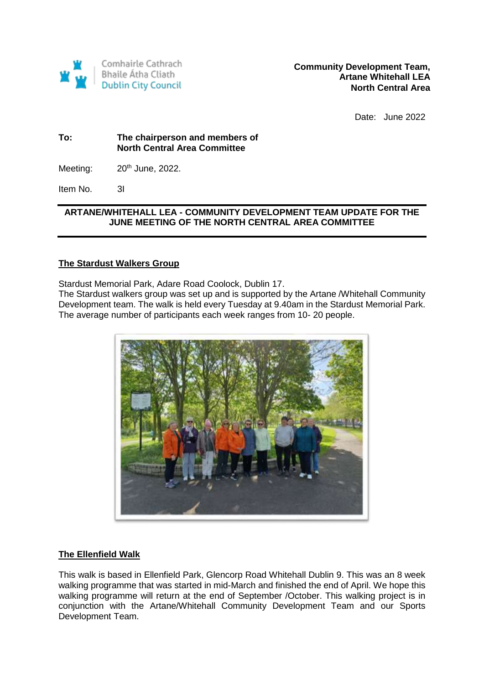

Date: June 2022

## **To: The chairperson and members of North Central Area Committee**

Meeting:  $20<sup>th</sup>$  June, 2022.

Item No. 3I

## **ARTANE/WHITEHALL LEA - COMMUNITY DEVELOPMENT TEAM UPDATE FOR THE JUNE MEETING OF THE NORTH CENTRAL AREA COMMITTEE**

# **The Stardust Walkers Group**

Stardust Memorial Park, Adare Road Coolock, Dublin 17.

The Stardust walkers group was set up and is supported by the Artane /Whitehall Community Development team. The walk is held every Tuesday at 9.40am in the Stardust Memorial Park. The average number of participants each week ranges from 10- 20 people.



## **The Ellenfield Walk**

This walk is based in Ellenfield Park, Glencorp Road Whitehall Dublin 9. This was an 8 week walking programme that was started in mid-March and finished the end of April. We hope this walking programme will return at the end of September /October. This walking project is in conjunction with the Artane/Whitehall Community Development Team and our Sports Development Team.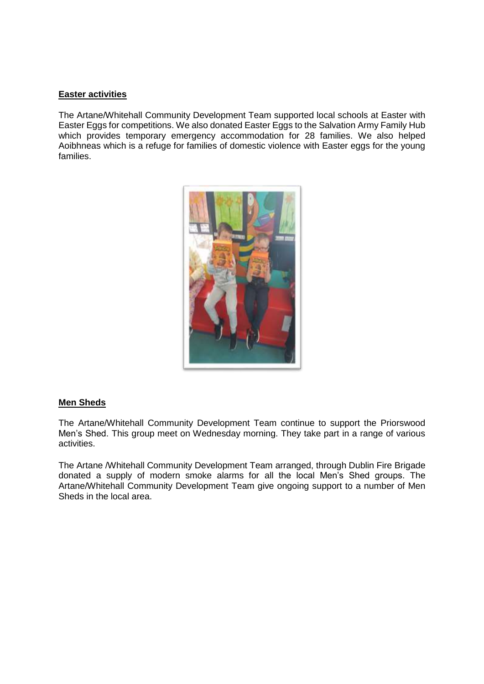#### **Easter activities**

The Artane/Whitehall Community Development Team supported local schools at Easter with Easter Eggs for competitions. We also donated Easter Eggs to the Salvation Army Family Hub which provides temporary emergency accommodation for 28 families. We also helped Aoibhneas which is a refuge for families of domestic violence with Easter eggs for the young families.



#### **Men Sheds**

The Artane/Whitehall Community Development Team continue to support the Priorswood Men's Shed. This group meet on Wednesday morning. They take part in a range of various activities.

The Artane /Whitehall Community Development Team arranged, through Dublin Fire Brigade donated a supply of modern smoke alarms for all the local Men's Shed groups. The Artane/Whitehall Community Development Team give ongoing support to a number of Men Sheds in the local area.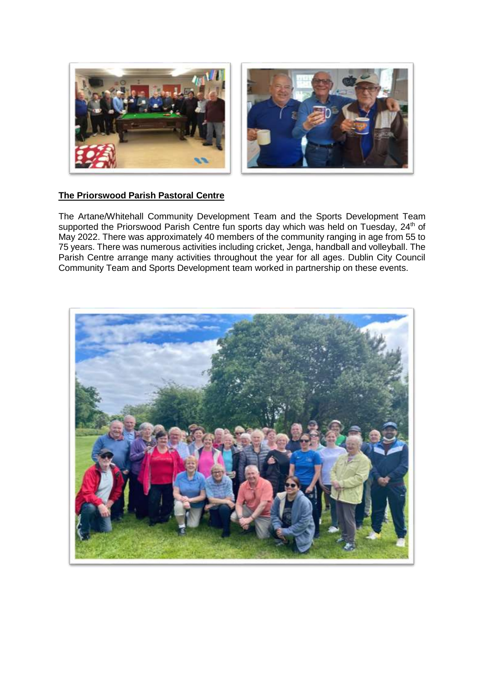

# **The Priorswood Parish Pastoral Centre**

The Artane/Whitehall Community Development Team and the Sports Development Team supported the Priorswood Parish Centre fun sports day which was held on Tuesday, 24<sup>th</sup> of May 2022. There was approximately 40 members of the community ranging in age from 55 to 75 years. There was numerous activities including cricket, Jenga, handball and volleyball. The Parish Centre arrange many activities throughout the year for all ages. Dublin City Council Community Team and Sports Development team worked in partnership on these events.

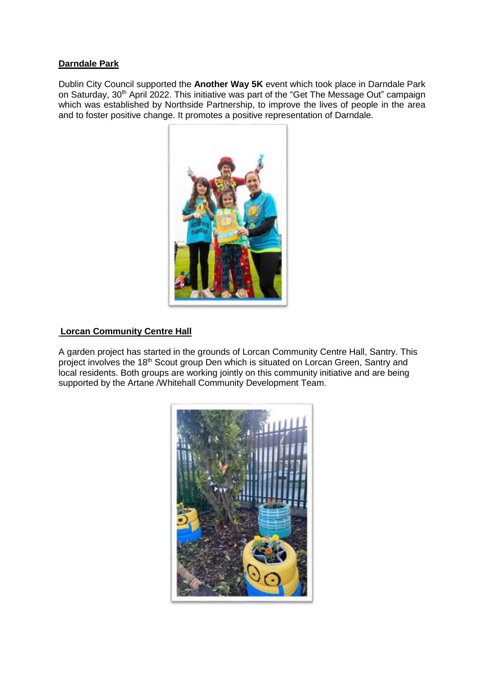## **Darndale Park**

Dublin City Council supported the **Another Way 5K** event which took place in Darndale Park on Saturday, 30<sup>th</sup> April 2022. This initiative was part of the "Get The Message Out" campaign which was established by Northside Partnership, to improve the lives of people in the area and to foster positive change. It promotes a positive representation of Darndale.



## **Lorcan Community Centre Hall**

A garden project has started in the grounds of Lorcan Community Centre Hall, Santry. This project involves the 18<sup>th</sup> Scout group Den which is situated on Lorcan Green, Santry and local residents. Both groups are working jointly on this community initiative and are being supported by the Artane *N*hitehall Community Development Team.

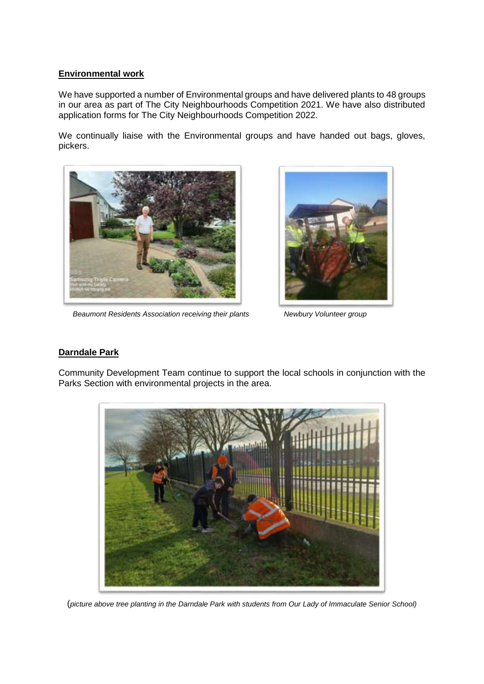### **Environmental work**

We have supported a number of Environmental groups and have delivered plants to 48 groups in our area as part of The City Neighbourhoods Competition 2021. We have also distributed application forms for The City Neighbourhoods Competition 2022.

We continually liaise with the Environmental groups and have handed out bags, gloves, pickers.



 *Beaumont Residents Association receiving their plants Newbury Volunteer group*



## **Darndale Park**

Community Development Team continue to support the local schools in conjunction with the Parks Section with environmental projects in the area.



(*picture above tree planting in the Darndale Park with students from Our Lady of Immaculate Senior School)*